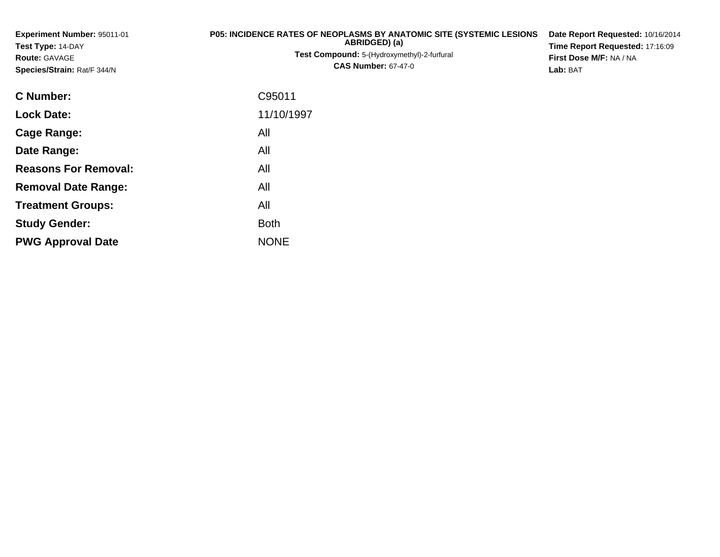| Experiment Number: 95011-01<br>Test Type: 14-DAY<br>Route: GAVAGE<br>Species/Strain: Rat/F 344/N | <b>P05: INCIDENCE RATES OF NEOPLASMS BY ANATOMIC SITE (SYSTEMIC LESIONS)</b><br>ABRIDGED) (a)<br>Test Compound: 5-(Hydroxymethyl)-2-furfural<br><b>CAS Number: 67-47-0</b> | Date Report Requested: 10/16/2014<br>Time Report Requested: 17:16:09<br>First Dose M/F: NA / NA<br>Lab: BAT |  |  |  |
|--------------------------------------------------------------------------------------------------|----------------------------------------------------------------------------------------------------------------------------------------------------------------------------|-------------------------------------------------------------------------------------------------------------|--|--|--|
| <b>C</b> Number:                                                                                 | C95011                                                                                                                                                                     |                                                                                                             |  |  |  |
| <b>Lock Date:</b>                                                                                | 11/10/1997                                                                                                                                                                 |                                                                                                             |  |  |  |
| <b>Cage Range:</b>                                                                               | All                                                                                                                                                                        |                                                                                                             |  |  |  |
| Date Range:                                                                                      | All                                                                                                                                                                        |                                                                                                             |  |  |  |
| <b>Reasons For Removal:</b>                                                                      | All                                                                                                                                                                        |                                                                                                             |  |  |  |
| <b>Removal Date Range:</b>                                                                       | All                                                                                                                                                                        |                                                                                                             |  |  |  |

**Treatment Groups:**

**PWG Approval Date**

**Study Gender:**

All

e NONE

Both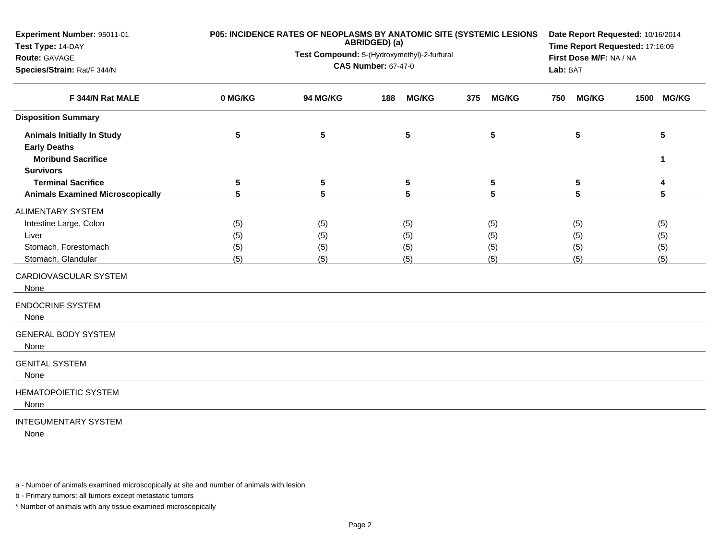| Experiment Number: 95011-01<br>Test Type: 14-DAY<br>Route: GAVAGE<br>Species/Strain: Rat/F 344/N          | P05: INCIDENCE RATES OF NEOPLASMS BY ANATOMIC SITE (SYSTEMIC LESIONS | Date Report Requested: 10/16/2014<br>Time Report Requested: 17:16:09<br>First Dose M/F: NA / NA<br>Lab: BAT |                     |                     |                     |                      |
|-----------------------------------------------------------------------------------------------------------|----------------------------------------------------------------------|-------------------------------------------------------------------------------------------------------------|---------------------|---------------------|---------------------|----------------------|
| F 344/N Rat MALE                                                                                          | 0 MG/KG                                                              | 94 MG/KG                                                                                                    | <b>MG/KG</b><br>188 | <b>MG/KG</b><br>375 | <b>MG/KG</b><br>750 | <b>MG/KG</b><br>1500 |
| <b>Disposition Summary</b>                                                                                |                                                                      |                                                                                                             |                     |                     |                     |                      |
| <b>Animals Initially In Study</b><br><b>Early Deaths</b><br><b>Moribund Sacrifice</b><br><b>Survivors</b> | 5                                                                    | 5                                                                                                           | 5                   | 5                   | 5                   | 5<br>1               |
| <b>Terminal Sacrifice</b>                                                                                 | 5                                                                    | 5                                                                                                           | $\sqrt{5}$          | 5                   | 5                   | 4                    |
| <b>Animals Examined Microscopically</b>                                                                   | 5                                                                    | 5                                                                                                           | 5                   | 5                   | 5                   | 5                    |
| ALIMENTARY SYSTEM                                                                                         |                                                                      |                                                                                                             |                     |                     |                     |                      |
| Intestine Large, Colon                                                                                    | (5)                                                                  | (5)                                                                                                         | (5)                 | (5)                 | (5)                 | (5)                  |
| Liver                                                                                                     | (5)                                                                  | (5)                                                                                                         | (5)                 | (5)                 | (5)                 | (5)                  |
| Stomach, Forestomach                                                                                      | (5)                                                                  | (5)                                                                                                         | (5)                 | (5)                 | (5)                 | (5)                  |
| Stomach, Glandular                                                                                        | (5)                                                                  | (5)                                                                                                         | (5)                 | (5)                 | (5)                 | (5)                  |
| CARDIOVASCULAR SYSTEM<br>None                                                                             |                                                                      |                                                                                                             |                     |                     |                     |                      |
| <b>ENDOCRINE SYSTEM</b><br>None                                                                           |                                                                      |                                                                                                             |                     |                     |                     |                      |
| <b>GENERAL BODY SYSTEM</b><br>None                                                                        |                                                                      |                                                                                                             |                     |                     |                     |                      |
| <b>GENITAL SYSTEM</b><br>None                                                                             |                                                                      |                                                                                                             |                     |                     |                     |                      |
| <b>HEMATOPOIETIC SYSTEM</b><br>None                                                                       |                                                                      |                                                                                                             |                     |                     |                     |                      |
| <b>INTEGUMENTARY SYSTEM</b>                                                                               |                                                                      |                                                                                                             |                     |                     |                     |                      |

None

a - Number of animals examined microscopically at site and number of animals with lesion

b - Primary tumors: all tumors except metastatic tumors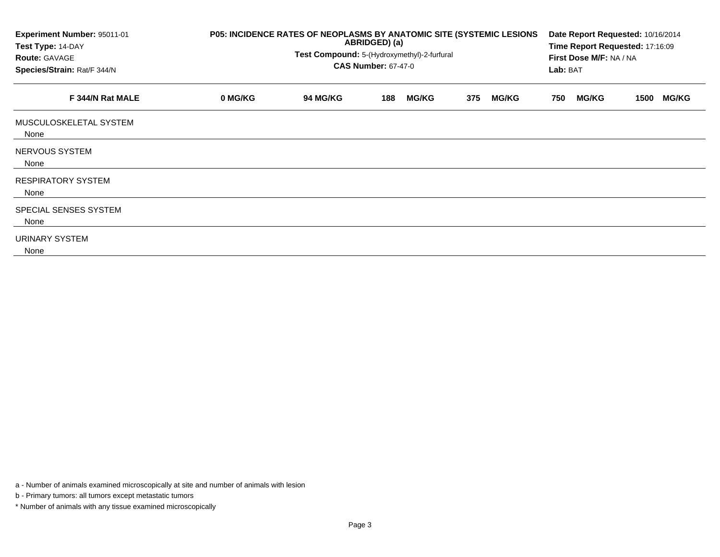| Experiment Number: 95011-01<br>Test Type: 14-DAY<br><b>Route: GAVAGE</b><br>Species/Strain: Rat/F 344/N | P05: INCIDENCE RATES OF NEOPLASMS BY ANATOMIC SITE (SYSTEMIC LESIONS<br>ABRIDGED) (a)<br>Test Compound: 5-(Hydroxymethyl)-2-furfural<br><b>CAS Number: 67-47-0</b> |                 |     |              |     |              |     | Date Report Requested: 10/16/2014<br>Time Report Requested: 17:16:09<br>First Dose M/F: NA / NA<br>Lab: BAT |      |              |  |
|---------------------------------------------------------------------------------------------------------|--------------------------------------------------------------------------------------------------------------------------------------------------------------------|-----------------|-----|--------------|-----|--------------|-----|-------------------------------------------------------------------------------------------------------------|------|--------------|--|
| F 344/N Rat MALE                                                                                        | 0 MG/KG                                                                                                                                                            | <b>94 MG/KG</b> | 188 | <b>MG/KG</b> | 375 | <b>MG/KG</b> | 750 | <b>MG/KG</b>                                                                                                | 1500 | <b>MG/KG</b> |  |
| MUSCULOSKELETAL SYSTEM<br>None                                                                          |                                                                                                                                                                    |                 |     |              |     |              |     |                                                                                                             |      |              |  |
| NERVOUS SYSTEM<br>None                                                                                  |                                                                                                                                                                    |                 |     |              |     |              |     |                                                                                                             |      |              |  |
| <b>RESPIRATORY SYSTEM</b><br>None                                                                       |                                                                                                                                                                    |                 |     |              |     |              |     |                                                                                                             |      |              |  |
| SPECIAL SENSES SYSTEM<br>None                                                                           |                                                                                                                                                                    |                 |     |              |     |              |     |                                                                                                             |      |              |  |
| URINARY SYSTEM<br>None                                                                                  |                                                                                                                                                                    |                 |     |              |     |              |     |                                                                                                             |      |              |  |

a - Number of animals examined microscopically at site and number of animals with lesion

b - Primary tumors: all tumors except metastatic tumors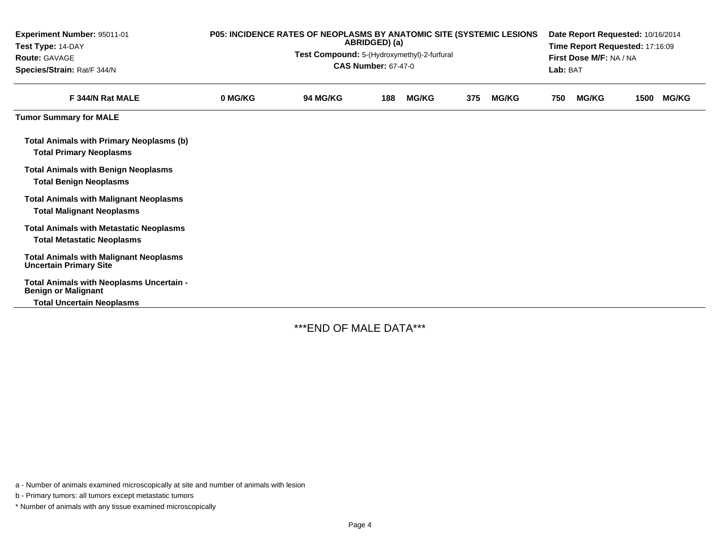| Experiment Number: 95011-01<br>Test Type: 14-DAY<br><b>Route: GAVAGE</b><br>Species/Strain: Rat/F 344/N | P05: INCIDENCE RATES OF NEOPLASMS BY ANATOMIC SITE (SYSTEMIC LESIONS<br>ABRIDGED) (a)<br>Test Compound: 5-(Hydroxymethyl)-2-furfural<br><b>CAS Number: 67-47-0</b> |                 |     |              |     |              |     | Date Report Requested: 10/16/2014<br>Time Report Requested: 17:16:09<br>First Dose M/F: NA / NA<br>Lab: BAT |      |              |  |  |
|---------------------------------------------------------------------------------------------------------|--------------------------------------------------------------------------------------------------------------------------------------------------------------------|-----------------|-----|--------------|-----|--------------|-----|-------------------------------------------------------------------------------------------------------------|------|--------------|--|--|
| F 344/N Rat MALE                                                                                        | 0 MG/KG                                                                                                                                                            | <b>94 MG/KG</b> | 188 | <b>MG/KG</b> | 375 | <b>MG/KG</b> | 750 | <b>MG/KG</b>                                                                                                | 1500 | <b>MG/KG</b> |  |  |
| <b>Tumor Summary for MALE</b>                                                                           |                                                                                                                                                                    |                 |     |              |     |              |     |                                                                                                             |      |              |  |  |
| <b>Total Animals with Primary Neoplasms (b)</b><br><b>Total Primary Neoplasms</b>                       |                                                                                                                                                                    |                 |     |              |     |              |     |                                                                                                             |      |              |  |  |
| <b>Total Animals with Benign Neoplasms</b><br><b>Total Benign Neoplasms</b>                             |                                                                                                                                                                    |                 |     |              |     |              |     |                                                                                                             |      |              |  |  |
| <b>Total Animals with Malignant Neoplasms</b><br><b>Total Malignant Neoplasms</b>                       |                                                                                                                                                                    |                 |     |              |     |              |     |                                                                                                             |      |              |  |  |
| <b>Total Animals with Metastatic Neoplasms</b><br><b>Total Metastatic Neoplasms</b>                     |                                                                                                                                                                    |                 |     |              |     |              |     |                                                                                                             |      |              |  |  |
| <b>Total Animals with Malignant Neoplasms</b><br><b>Uncertain Primary Site</b>                          |                                                                                                                                                                    |                 |     |              |     |              |     |                                                                                                             |      |              |  |  |
| Total Animals with Neoplasms Uncertain -<br><b>Benign or Malignant</b>                                  |                                                                                                                                                                    |                 |     |              |     |              |     |                                                                                                             |      |              |  |  |
| <b>Total Uncertain Neoplasms</b>                                                                        |                                                                                                                                                                    |                 |     |              |     |              |     |                                                                                                             |      |              |  |  |

\*\*\*END OF MALE DATA\*\*\*

a - Number of animals examined microscopically at site and number of animals with lesion

b - Primary tumors: all tumors except metastatic tumors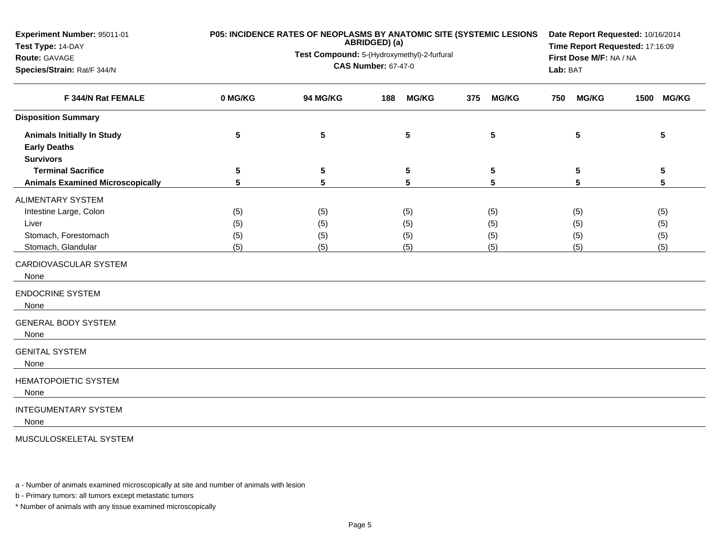| Experiment Number: 95011-01<br>Test Type: 14-DAY<br>Route: GAVAGE<br>Species/Strain: Rat/F 344/N   | P05: INCIDENCE RATES OF NEOPLASMS BY ANATOMIC SITE (SYSTEMIC LESIONS | Date Report Requested: 10/16/2014<br>Time Report Requested: 17:16:09<br>First Dose M/F: NA / NA<br>Lab: BAT |                          |                          |                          |                          |
|----------------------------------------------------------------------------------------------------|----------------------------------------------------------------------|-------------------------------------------------------------------------------------------------------------|--------------------------|--------------------------|--------------------------|--------------------------|
| F 344/N Rat FEMALE                                                                                 | 0 MG/KG                                                              | <b>94 MG/KG</b>                                                                                             | <b>MG/KG</b><br>188      | 375<br><b>MG/KG</b>      | <b>MG/KG</b><br>750      | 1500<br><b>MG/KG</b>     |
| <b>Disposition Summary</b>                                                                         |                                                                      |                                                                                                             |                          |                          |                          |                          |
| <b>Animals Initially In Study</b><br><b>Early Deaths</b><br><b>Survivors</b>                       | 5                                                                    | 5                                                                                                           | 5                        | 5                        | 5                        | 5                        |
| <b>Terminal Sacrifice</b><br><b>Animals Examined Microscopically</b>                               | 5<br>5                                                               | 5<br>5                                                                                                      | ${\bf 5}$<br>5           | 5<br>5                   | 5<br>5                   | $5\phantom{.0}$<br>5     |
| ALIMENTARY SYSTEM<br>Intestine Large, Colon<br>Liver<br>Stomach, Forestomach<br>Stomach, Glandular | (5)<br>(5)<br>(5)<br>(5)                                             | (5)<br>(5)<br>(5)<br>(5)                                                                                    | (5)<br>(5)<br>(5)<br>(5) | (5)<br>(5)<br>(5)<br>(5) | (5)<br>(5)<br>(5)<br>(5) | (5)<br>(5)<br>(5)<br>(5) |
| CARDIOVASCULAR SYSTEM<br>None                                                                      |                                                                      |                                                                                                             |                          |                          |                          |                          |
| <b>ENDOCRINE SYSTEM</b><br>None                                                                    |                                                                      |                                                                                                             |                          |                          |                          |                          |
| <b>GENERAL BODY SYSTEM</b><br>None                                                                 |                                                                      |                                                                                                             |                          |                          |                          |                          |
| <b>GENITAL SYSTEM</b><br>None                                                                      |                                                                      |                                                                                                             |                          |                          |                          |                          |
| HEMATOPOIETIC SYSTEM<br>None                                                                       |                                                                      |                                                                                                             |                          |                          |                          |                          |
| <b>INTEGUMENTARY SYSTEM</b><br>None                                                                |                                                                      |                                                                                                             |                          |                          |                          |                          |
| MUSCULOSKELETAL SYSTEM                                                                             |                                                                      |                                                                                                             |                          |                          |                          |                          |

a - Number of animals examined microscopically at site and number of animals with lesion

b - Primary tumors: all tumors except metastatic tumors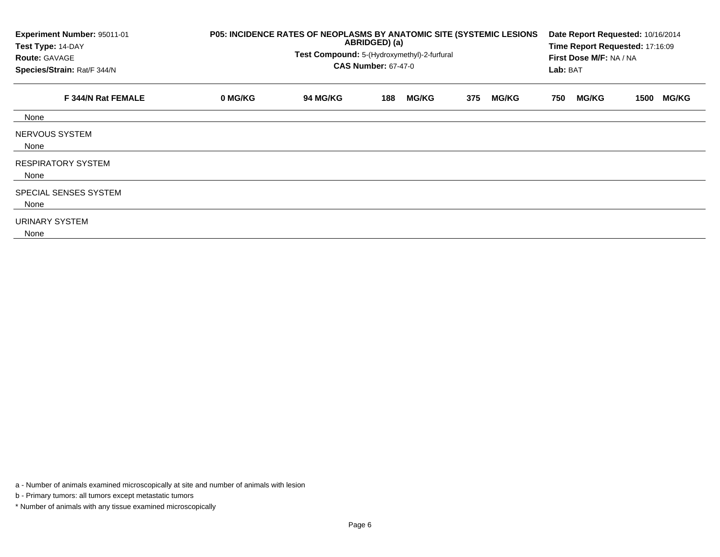| Experiment Number: 95011-01<br>Test Type: 14-DAY<br><b>Route: GAVAGE</b><br>Species/Strain: Rat/F 344/N | P05: INCIDENCE RATES OF NEOPLASMS BY ANATOMIC SITE (SYSTEMIC LESIONS | Date Report Requested: 10/16/2014<br>Time Report Requested: 17:16:09<br>First Dose M/F: NA / NA<br>Lab: BAT |     |              |     |              |     |              |      |              |
|---------------------------------------------------------------------------------------------------------|----------------------------------------------------------------------|-------------------------------------------------------------------------------------------------------------|-----|--------------|-----|--------------|-----|--------------|------|--------------|
| F 344/N Rat FEMALE                                                                                      | 0 MG/KG                                                              | <b>94 MG/KG</b>                                                                                             | 188 | <b>MG/KG</b> | 375 | <b>MG/KG</b> | 750 | <b>MG/KG</b> | 1500 | <b>MG/KG</b> |
| None                                                                                                    |                                                                      |                                                                                                             |     |              |     |              |     |              |      |              |
| NERVOUS SYSTEM<br>None                                                                                  |                                                                      |                                                                                                             |     |              |     |              |     |              |      |              |
| <b>RESPIRATORY SYSTEM</b><br>None                                                                       |                                                                      |                                                                                                             |     |              |     |              |     |              |      |              |
| SPECIAL SENSES SYSTEM<br>None                                                                           |                                                                      |                                                                                                             |     |              |     |              |     |              |      |              |
| URINARY SYSTEM<br>None                                                                                  |                                                                      |                                                                                                             |     |              |     |              |     |              |      |              |

a - Number of animals examined microscopically at site and number of animals with lesion

b - Primary tumors: all tumors except metastatic tumors